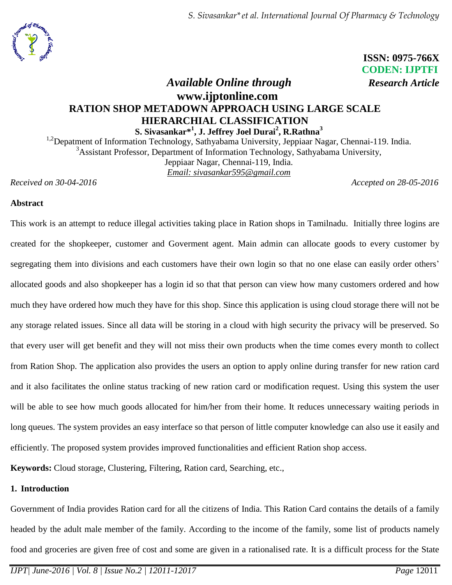*S. Sivasankar\*et al. International Journal Of Pharmacy & Technology*



 **ISSN: 0975-766X CODEN: IJPTFI**

# *Available Online through Research Article* **www.ijptonline.com RATION SHOP METADOWN APPROACH USING LARGE SCALE HIERARCHIAL CLASSIFICATION S. Sivasankar\* 1 , J. Jeffrey Joel Durai<sup>2</sup> , R.Rathna<sup>3</sup>**

<sup>1,2</sup>Depatment of Information Technology, Sathyabama University, Jeppiaar Nagar, Chennai-119. India. <sup>3</sup>Assistant Professor, Department of Information Technology, Sathyabama University, Jeppiaar Nagar, Chennai-119, India. *Email: [sivasankar595@gmail.com](mailto:sivasankar595@gmail.com1)*

*Received on 30-04-2016 Accepted on 28-05-2016*

### **Abstract**

This work is an attempt to reduce illegal activities taking place in Ration shops in Tamilnadu. Initially three logins are created for the shopkeeper, customer and Goverment agent. Main admin can allocate goods to every customer by segregating them into divisions and each customers have their own login so that no one elase can easily order others' allocated goods and also shopkeeper has a login id so that that person can view how many customers ordered and how much they have ordered how much they have for this shop. Since this application is using cloud storage there will not be any storage related issues. Since all data will be storing in a cloud with high security the privacy will be preserved. So that every user will get benefit and they will not miss their own products when the time comes every month to collect from Ration Shop. The application also provides the users an option to apply online during transfer for new ration card and it also facilitates the online status tracking of new ration card or modification request. Using this system the user will be able to see how much goods allocated for him/her from their home. It reduces unnecessary waiting periods in long queues. The system provides an easy interface so that person of little computer knowledge can also use it easily and efficiently. The proposed system provides improved functionalities and efficient Ration shop access.

**Keywords:** Cloud storage, Clustering, Filtering, Ration card, Searching, etc.,

## **1. Introduction**

Government of India provides Ration card for all the citizens of India. This Ration Card contains the details of a family headed by the adult male member of the family. According to the income of the family, some list of products namely food and groceries are given free of cost and some are given in a rationalised rate. It is a difficult process for the State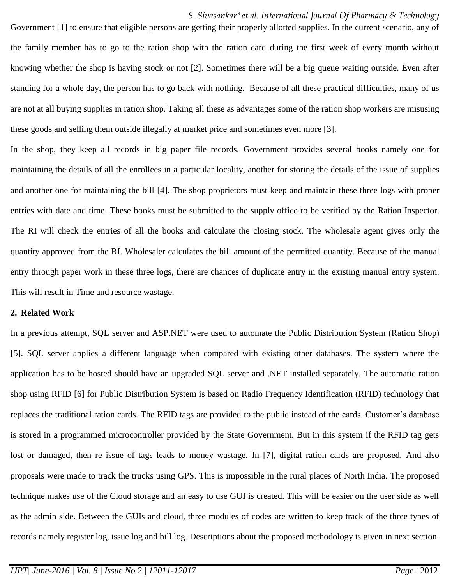#### *S. Sivasankar\*et al. International Journal Of Pharmacy & Technology*

Government [1] to ensure that eligible persons are getting their properly allotted supplies. In the current scenario, any of the family member has to go to the ration shop with the ration card during the first week of every month without knowing whether the shop is having stock or not [2]. Sometimes there will be a big queue waiting outside. Even after standing for a whole day, the person has to go back with nothing. Because of all these practical difficulties, many of us are not at all buying supplies in ration shop. Taking all these as advantages some of the ration shop workers are misusing these goods and selling them outside illegally at market price and sometimes even more [3].

In the shop, they keep all records in big paper file records. Government provides several books namely one for maintaining the details of all the enrollees in a particular locality, another for storing the details of the issue of supplies and another one for maintaining the bill [4]. The shop proprietors must keep and maintain these three logs with proper entries with date and time. These books must be submitted to the supply office to be verified by the Ration Inspector. The RI will check the entries of all the books and calculate the closing stock. The wholesale agent gives only the quantity approved from the RI. Wholesaler calculates the bill amount of the permitted quantity. Because of the manual entry through paper work in these three logs, there are chances of duplicate entry in the existing manual entry system. This will result in Time and resource wastage.

#### **2. Related Work**

In a previous attempt, SQL server and ASP.NET were used to automate the Public Distribution System (Ration Shop) [5]. SQL server applies a different language when compared with existing other databases. The system where the application has to be hosted should have an upgraded SQL server and .NET installed separately. The automatic ration shop using RFID [6] for Public Distribution System is based on Radio Frequency Identification (RFID) technology that replaces the traditional ration cards. The RFID tags are provided to the public instead of the cards. Customer's database is stored in a programmed microcontroller provided by the State Government. But in this system if the RFID tag gets lost or damaged, then re issue of tags leads to money wastage. In [7], digital ration cards are proposed. And also proposals were made to track the trucks using GPS. This is impossible in the rural places of North India. The proposed technique makes use of the Cloud storage and an easy to use GUI is created. This will be easier on the user side as well as the admin side. Between the GUIs and cloud, three modules of codes are written to keep track of the three types of records namely register log, issue log and bill log. Descriptions about the proposed methodology is given in next section.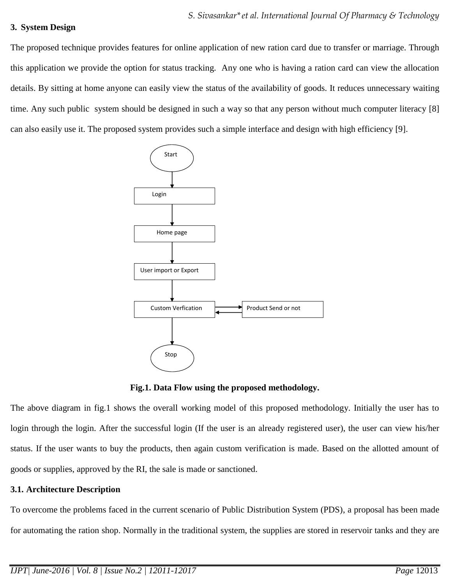### **3. System Design**

The proposed technique provides features for online application of new ration card due to transfer or marriage. Through this application we provide the option for status tracking. Any one who is having a ration card can view the allocation details. By sitting at home anyone can easily view the status of the availability of goods. It reduces unnecessary waiting time. Any such public system should be designed in such a way so that any person without much computer literacy [8] can also easily use it. The proposed system provides such a simple interface and design with high efficiency [9].



**Fig.1. Data Flow using the proposed methodology.**

The above diagram in fig.1 shows the overall working model of this proposed methodology. Initially the user has to login through the login. After the successful login (If the user is an already registered user), the user can view his/her status. If the user wants to buy the products, then again custom verification is made. Based on the allotted amount of goods or supplies, approved by the RI, the sale is made or sanctioned.

### **3.1. Architecture Description**

To overcome the problems faced in the current scenario of Public Distribution System (PDS), a proposal has been made for automating the ration shop. Normally in the traditional system, the supplies are stored in reservoir tanks and they are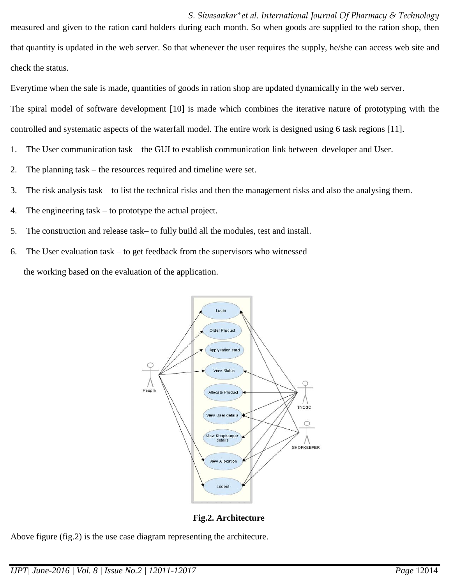*S. Sivasankar\*et al. International Journal Of Pharmacy & Technology* measured and given to the ration card holders during each month. So when goods are supplied to the ration shop, then that quantity is updated in the web server. So that whenever the user requires the supply, he/she can access web site and check the status.

Everytime when the sale is made, quantities of goods in ration shop are updated dynamically in the web server.

The spiral model of software development [10] is made which combines the iterative nature of prototyping with the controlled and systematic aspects of the waterfall model. The entire work is designed using 6 task regions [11].

- 1. The User communication task the GUI to establish communication link between developer and User.
- 2. The planning task the resources required and timeline were set.
- 3. The risk analysis task to list the technical risks and then the management risks and also the analysing them.
- 4. The engineering task to prototype the actual project.
- 5. The construction and release task– to fully build all the modules, test and install.
- 6. The User evaluation task to get feedback from the supervisors who witnessed the working based on the evaluation of the application.



**Fig.2. Architecture**

Above figure (fig.2) is the use case diagram representing the architecure.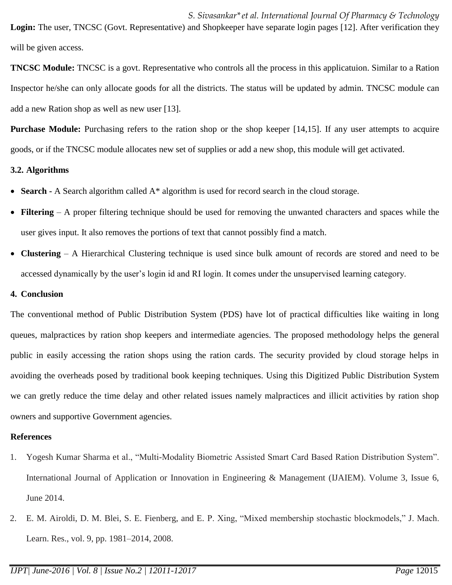*S. Sivasankar\*et al. International Journal Of Pharmacy & Technology* **Login:** The user, TNCSC (Govt. Representative) and Shopkeeper have separate login pages [12]. After verification they will be given access.

**TNCSC Module:** TNCSC is a govt. Representative who controls all the process in this applicatuion. Similar to a Ration Inspector he/she can only allocate goods for all the districts. The status will be updated by admin. TNCSC module can add a new Ration shop as well as new user [13].

**Purchase Module:** Purchasing refers to the ration shop or the shop keeper [14,15]. If any user attempts to acquire goods, or if the TNCSC module allocates new set of supplies or add a new shop, this module will get activated.

### **3.2. Algorithms**

- **Search -** A Search algorithm called A\* algorithm is used for record search in the cloud storage.
- **Filtering** A proper filtering technique should be used for removing the unwanted characters and spaces while the user gives input. It also removes the portions of text that cannot possibly find a match.
- **Clustering** A Hierarchical Clustering technique is used since bulk amount of records are stored and need to be accessed dynamically by the user's login id and RI login. It comes under the unsupervised learning category.

### **4. Conclusion**

The conventional method of Public Distribution System (PDS) have lot of practical difficulties like waiting in long queues, malpractices by ration shop keepers and intermediate agencies. The proposed methodology helps the general public in easily accessing the ration shops using the ration cards. The security provided by cloud storage helps in avoiding the overheads posed by traditional book keeping techniques. Using this Digitized Public Distribution System we can gretly reduce the time delay and other related issues namely malpractices and illicit activities by ration shop owners and supportive Government agencies.

## **References**

- 1. Yogesh Kumar Sharma et al., "Multi-Modality Biometric Assisted Smart Card Based Ration Distribution System". International Journal of Application or Innovation in Engineering & Management (IJAIEM). Volume 3, Issue 6, June 2014.
- 2. E. M. Airoldi, D. M. Blei, S. E. Fienberg, and E. P. Xing, "Mixed membership stochastic blockmodels," J. Mach. Learn. Res., vol. 9, pp. 1981–2014, 2008.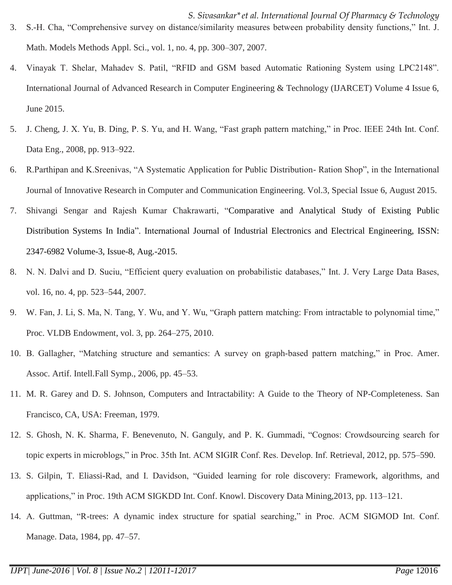- *S. Sivasankar\*et al. International Journal Of Pharmacy & Technology* 3. S.-H. Cha, "Comprehensive survey on distance/similarity measures between probability density functions," Int. J. Math. Models Methods Appl. Sci., vol. 1, no. 4, pp. 300–307, 2007.
- 4. Vinayak T. Shelar, Mahadev S. Patil, "RFID and GSM based Automatic Rationing System using LPC2148". International Journal of Advanced Research in Computer Engineering & Technology (IJARCET) Volume 4 Issue 6, June 2015.
- 5. J. Cheng, J. X. Yu, B. Ding, P. S. Yu, and H. Wang, "Fast graph pattern matching," in Proc. IEEE 24th Int. Conf. Data Eng., 2008, pp. 913–922.
- 6. R.Parthipan and K.Sreenivas, "A Systematic Application for Public Distribution- Ration Shop", in the International Journal of Innovative Research in Computer and Communication Engineering. Vol.3, Special Issue 6, August 2015.
- 7. Shivangi Sengar and Rajesh Kumar Chakrawarti, "Comparative and Analytical Study of Existing Public Distribution Systems In India". International Journal of Industrial Electronics and Electrical Engineering, ISSN: 2347-6982 Volume-3, Issue-8, Aug.-2015.
- 8. N. N. Dalvi and D. Suciu, "Efficient query evaluation on probabilistic databases," Int. J. Very Large Data Bases, vol. 16, no. 4, pp. 523–544, 2007.
- 9. W. Fan, J. Li, S. Ma, N. Tang, Y. Wu, and Y. Wu, "Graph pattern matching: From intractable to polynomial time," Proc. VLDB Endowment, vol. 3, pp. 264–275, 2010.
- 10. B. Gallagher, "Matching structure and semantics: A survey on graph-based pattern matching," in Proc. Amer. Assoc. Artif. Intell.Fall Symp., 2006, pp. 45–53.
- 11. M. R. Garey and D. S. Johnson, Computers and Intractability: A Guide to the Theory of NP-Completeness. San Francisco, CA, USA: Freeman, 1979.
- 12. S. Ghosh, N. K. Sharma, F. Benevenuto, N. Ganguly, and P. K. Gummadi, "Cognos: Crowdsourcing search for topic experts in microblogs," in Proc. 35th Int. ACM SIGIR Conf. Res. Develop. Inf. Retrieval, 2012, pp. 575–590.
- 13. S. Gilpin, T. Eliassi-Rad, and I. Davidson, "Guided learning for role discovery: Framework, algorithms, and applications," in Proc. 19th ACM SIGKDD Int. Conf. Knowl. Discovery Data Mining,2013, pp. 113–121.
- 14. A. Guttman, "R-trees: A dynamic index structure for spatial searching," in Proc. ACM SIGMOD Int. Conf. Manage. Data, 1984, pp. 47–57.